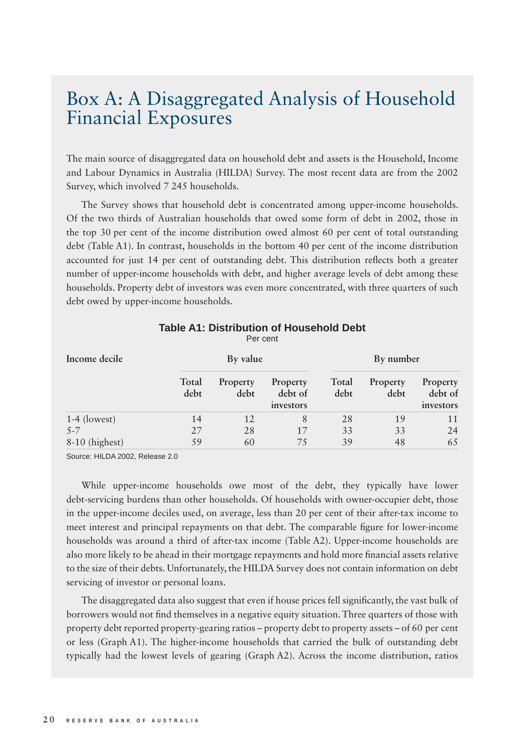## Box A: A Disaggregated Analysis of Household Financial Exposures

The main source of disaggregated data on household debt and assets is the Household, Income and Labour Dynamics in Australia (HILDA) Survey. The most recent data are from the 2002 Survey, which involved 7 245 households.

The Survey shows that household debt is concentrated among upper-income households. Of the two thirds of Australian households that owed some form of debt in 2002, those in the top 30 per cent of the income distribution owed almost 60 per cent of total outstanding debt (Table A1). In contrast, households in the bottom 40 per cent of the income distribution accounted for just 14 per cent of outstanding debt. This distribution reflects both a greater number of upper-income households with debt, and higher average levels of debt among these households. Property debt of investors was even more concentrated, with three quarters of such debt owed by upper-income households.

| Income decile    | By value      |                  |                                  | By number     |                  |                                  |
|------------------|---------------|------------------|----------------------------------|---------------|------------------|----------------------------------|
|                  | Total<br>debt | Property<br>debt | Property<br>debt of<br>investors | Total<br>debt | Property<br>debt | Property<br>debt of<br>investors |
| $1-4$ (lowest)   | 14            | 12               | 8                                | 28            | 19               | 11                               |
| $5 - 7$          | 27            | 28               | 17                               | 33            | 33               | 24                               |
| $8-10$ (highest) | 59            | 60               | 75                               | 39            | 48               | 65                               |

## **Table A1: Distribution of Household Debt** Per cent

Source: HILDA 2002, Release 2.0

While upper-income households owe most of the debt, they typically have lower debt-servicing burdens than other households. Of households with owner-occupier debt, those in the upper-income deciles used, on average, less than 20 per cent of their after-tax income to meet interest and principal repayments on that debt. The comparable figure for lower-income households was around a third of after-tax income (Table A2). Upper-income households are also more likely to be ahead in their mortgage repayments and hold more financial assets relative to the size of their debts. Unfortunately, the HILDA Survey does not contain information on debt servicing of investor or personal loans.

The disaggregated data also suggest that even if house prices fell significantly, the vast bulk of borrowers would not find themselves in a negative equity situation. Three quarters of those with property debt reported property-gearing ratios – property debt to property assets – of 60 per cent or less (Graph A1). The higher-income households that carried the bulk of outstanding debt typically had the lowest levels of gearing (Graph A2). Across the income distribution, ratios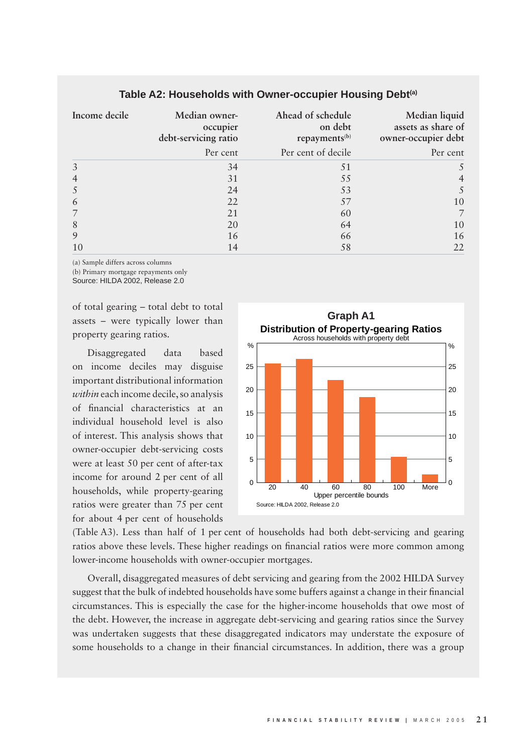| Income decile | Median owner-<br>occupier<br>debt-servicing ratio | Ahead of schedule<br>on debt<br>repayments <sup>(b)</sup> | Median liquid<br>assets as share of<br>owner-occupier debt |  |
|---------------|---------------------------------------------------|-----------------------------------------------------------|------------------------------------------------------------|--|
|               | Per cent                                          | Per cent of decile                                        | Per cent                                                   |  |
|               | 34                                                | 51                                                        |                                                            |  |
|               | 31                                                | 55                                                        |                                                            |  |
|               | 24                                                | 53                                                        |                                                            |  |
| $\mathfrak b$ | 22                                                | 57                                                        | 10                                                         |  |
|               | 21                                                | 60                                                        |                                                            |  |
| 8             | 20                                                | 64                                                        | 10                                                         |  |
|               | 16                                                | 66                                                        | 16                                                         |  |
| 10            | 14                                                | 58                                                        | 22                                                         |  |

## **Table A2: Households with Owner-occupier Housing Debt(a)**

(a) Sample differs across columns

(b) Primary mortgage repayments only

Source: HILDA 2002, Release 2.0

of total gearing – total debt to total assets – were typically lower than property gearing ratios.

Disaggregated data based on income deciles may disguise important distributional information *within* each income decile, so analysis of financial characteristics at an individual household level is also of interest. This analysis shows that owner-occupier debt-servicing costs were at least 50 per cent of after-tax income for around 2 per cent of all households, while property-gearing ratios were greater than 75 per cent for about 4 per cent of households



(Table A3). Less than half of 1 per cent of households had both debt-servicing and gearing ratios above these levels. These higher readings on financial ratios were more common among lower-income households with owner-occupier mortgages.

Overall, disaggregated measures of debt servicing and gearing from the 2002 HILDA Survey suggest that the bulk of indebted households have some buffers against a change in their financial circumstances. This is especially the case for the higher-income households that owe most of the debt. However, the increase in aggregate debt-servicing and gearing ratios since the Survey was undertaken suggests that these disaggregated indicators may understate the exposure of some households to a change in their financial circumstances. In addition, there was a group